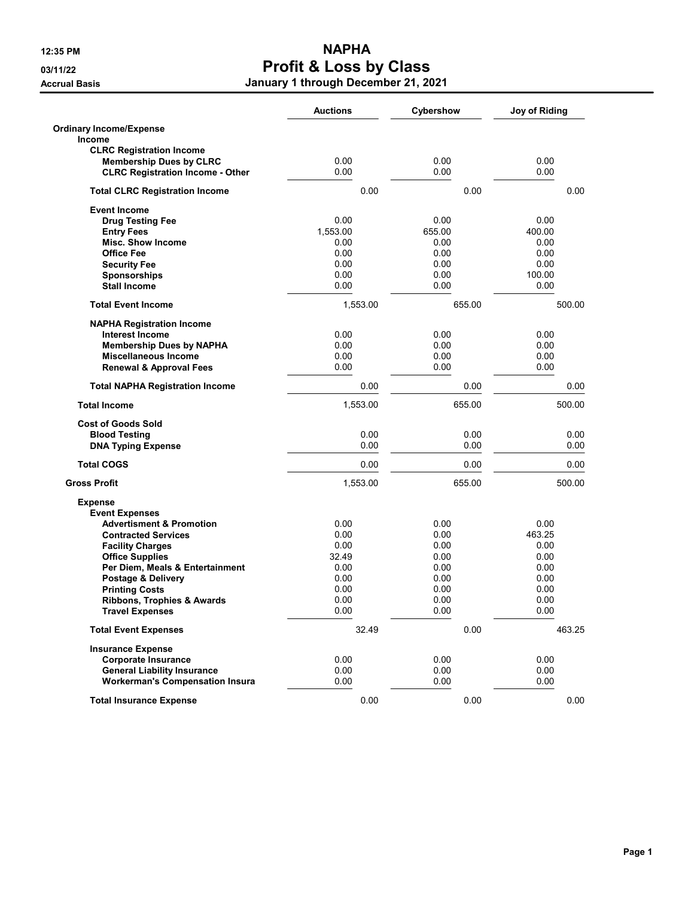|                                         | <b>Auctions</b> | Cybershow | Joy of Riding |
|-----------------------------------------|-----------------|-----------|---------------|
| <b>Ordinary Income/Expense</b>          |                 |           |               |
| <b>Income</b>                           |                 |           |               |
| <b>CLRC Registration Income</b>         |                 |           |               |
| <b>Membership Dues by CLRC</b>          | 0.00            | 0.00      | 0.00          |
| <b>CLRC Registration Income - Other</b> | 0.00            | 0.00      | 0.00          |
| <b>Total CLRC Registration Income</b>   | 0.00            | 0.00      | 0.00          |
| <b>Event Income</b>                     |                 |           |               |
| <b>Drug Testing Fee</b>                 | 0.00            | 0.00      | 0.00          |
| <b>Entry Fees</b>                       | 1,553.00        | 655.00    | 400.00        |
| <b>Misc. Show Income</b>                | 0.00            | 0.00      | 0.00          |
| <b>Office Fee</b>                       | 0.00            | 0.00      | 0.00          |
| <b>Security Fee</b>                     | 0.00            | 0.00      | 0.00          |
| <b>Sponsorships</b>                     | 0.00            | 0.00      | 100.00        |
| <b>Stall Income</b>                     | 0.00            | 0.00      | 0.00          |
| <b>Total Event Income</b>               | 1,553.00        | 655.00    | 500.00        |
| <b>NAPHA Registration Income</b>        |                 |           |               |
| <b>Interest Income</b>                  | 0.00            | 0.00      | 0.00          |
| <b>Membership Dues by NAPHA</b>         | 0.00            | 0.00      | 0.00          |
| <b>Miscellaneous Income</b>             | 0.00            | 0.00      | 0.00          |
| <b>Renewal &amp; Approval Fees</b>      | 0.00            | 0.00      | 0.00          |
| <b>Total NAPHA Registration Income</b>  | 0.00            | 0.00      | 0.00          |
| <b>Total Income</b>                     | 1,553.00        | 655.00    | 500.00        |
| <b>Cost of Goods Sold</b>               |                 |           |               |
| <b>Blood Testing</b>                    | 0.00            | 0.00      | 0.00          |
| <b>DNA Typing Expense</b>               | 0.00            | 0.00      | 0.00          |
| <b>Total COGS</b>                       | 0.00            | 0.00      | 0.00          |
| <b>Gross Profit</b>                     | 1,553.00        | 655.00    | 500.00        |
| <b>Expense</b>                          |                 |           |               |
| <b>Event Expenses</b>                   |                 |           |               |
| <b>Advertisment &amp; Promotion</b>     | 0.00            | 0.00      | 0.00          |
| <b>Contracted Services</b>              | 0.00            | 0.00      | 463.25        |
| <b>Facility Charges</b>                 | 0.00            | 0.00      | 0.00          |
| <b>Office Supplies</b>                  | 32.49           | 0.00      | 0.00          |
| Per Diem, Meals & Entertainment         | 0.00            | 0.00      | 0.00          |
| Postage & Delivery                      | 0.00            | 0.00      | 0.00          |
| <b>Printing Costs</b>                   | 0.00            | 0.00      | 0.00          |
| <b>Ribbons, Trophies &amp; Awards</b>   | 0.00            | 0.00      | 0.00          |
| <b>Travel Expenses</b>                  | 0.00            | 0.00      | 0.00          |
| <b>Total Event Expenses</b>             | 32.49           | 0.00      | 463.25        |
| <b>Insurance Expense</b>                |                 |           |               |
| <b>Corporate Insurance</b>              | 0.00            | 0.00      | 0.00          |
| <b>General Liability Insurance</b>      | 0.00            | 0.00      | 0.00          |
| <b>Workerman's Compensation Insura</b>  | 0.00            | 0.00      | 0.00          |
| <b>Total Insurance Expense</b>          | 0.00            | 0.00      | 0.00          |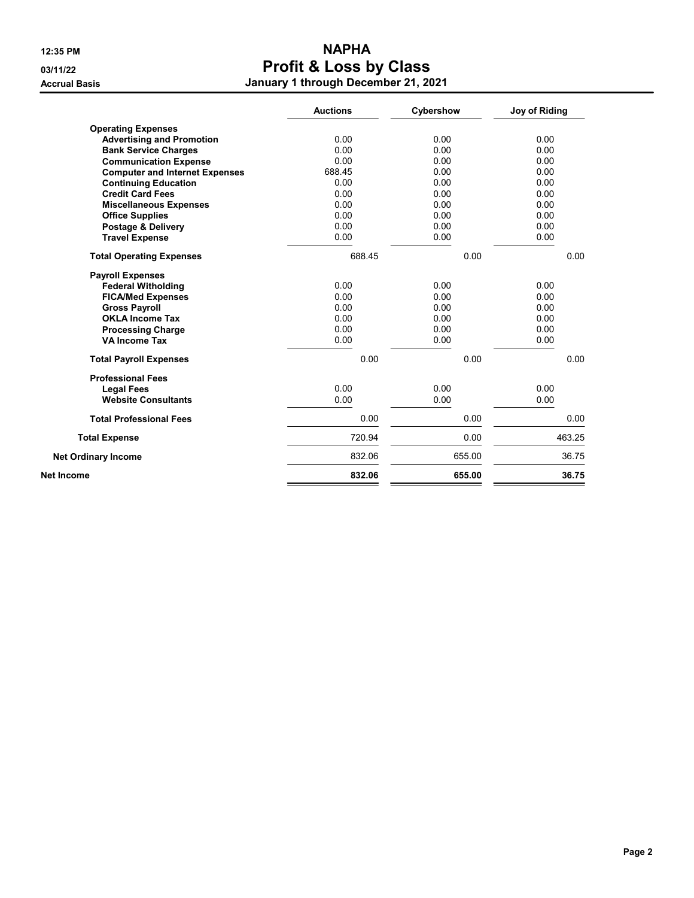|                                       | <b>Auctions</b> | Cybershow | Joy of Riding |
|---------------------------------------|-----------------|-----------|---------------|
| <b>Operating Expenses</b>             |                 |           |               |
| <b>Advertising and Promotion</b>      | 0.00            | 0.00      | 0.00          |
| <b>Bank Service Charges</b>           | 0.00            | 0.00      | 0.00          |
| <b>Communication Expense</b>          | 0.00            | 0.00      | 0.00          |
| <b>Computer and Internet Expenses</b> | 688.45          | 0.00      | 0.00          |
| <b>Continuing Education</b>           | 0.00            | 0.00      | 0.00          |
| <b>Credit Card Fees</b>               | 0.00            | 0.00      | 0.00          |
| <b>Miscellaneous Expenses</b>         | 0.00            | 0.00      | 0.00          |
| <b>Office Supplies</b>                | 0.00            | 0.00      | 0.00          |
| <b>Postage &amp; Delivery</b>         | 0.00            | 0.00      | 0.00          |
| <b>Travel Expense</b>                 | 0.00            | 0.00      | 0.00          |
| <b>Total Operating Expenses</b>       | 688.45          | 0.00      | 0.00          |
| <b>Payroll Expenses</b>               |                 |           |               |
| <b>Federal Witholding</b>             | 0.00            | 0.00      | 0.00          |
| <b>FICA/Med Expenses</b>              | 0.00            | 0.00      | 0.00          |
| <b>Gross Payroll</b>                  | 0.00            | 0.00      | 0.00          |
| <b>OKLA Income Tax</b>                | 0.00            | 0.00      | 0.00          |
| <b>Processing Charge</b>              | 0.00            | 0.00      | 0.00          |
| <b>VA Income Tax</b>                  | 0.00            | 0.00      | 0.00          |
| <b>Total Payroll Expenses</b>         | 0.00            | 0.00      | 0.00          |
| <b>Professional Fees</b>              |                 |           |               |
| <b>Legal Fees</b>                     | 0.00            | 0.00      | 0.00          |
| <b>Website Consultants</b>            | 0.00            | 0.00      | 0.00          |
| <b>Total Professional Fees</b>        | 0.00            | 0.00      | 0.00          |
| <b>Total Expense</b>                  | 720.94          | 0.00      | 463.25        |
| <b>Net Ordinary Income</b>            | 832.06          | 655.00    | 36.75         |
| <b>Net Income</b>                     | 832.06          | 655.00    | 36.75         |
|                                       |                 |           |               |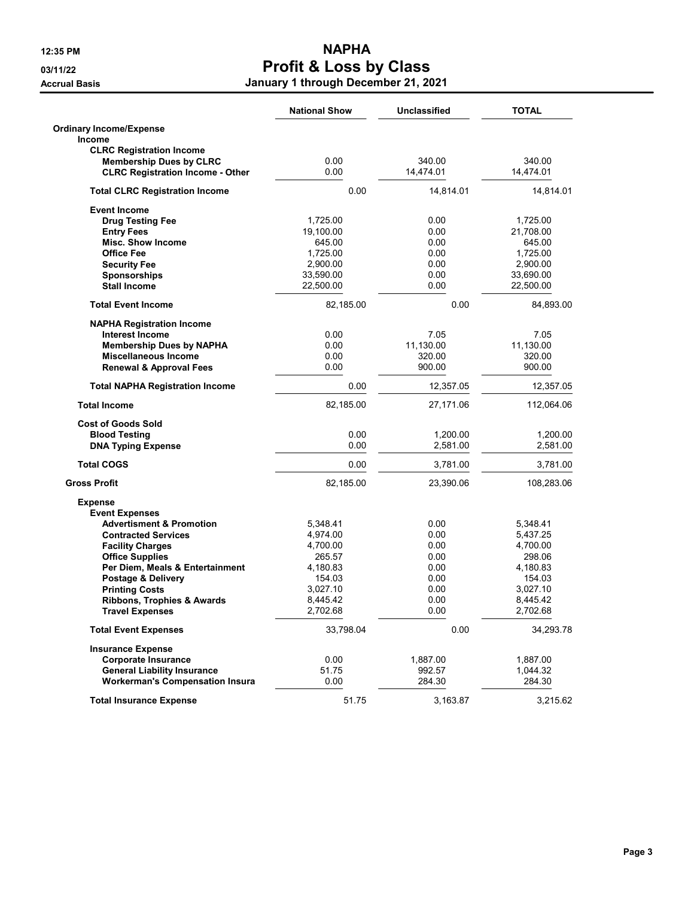|                                         | <b>National Show</b> | Unclassified | <b>TOTAL</b> |
|-----------------------------------------|----------------------|--------------|--------------|
| <b>Ordinary Income/Expense</b>          |                      |              |              |
| Income                                  |                      |              |              |
| <b>CLRC Registration Income</b>         |                      |              |              |
| <b>Membership Dues by CLRC</b>          | 0.00                 | 340.00       | 340.00       |
| <b>CLRC Registration Income - Other</b> | 0.00                 | 14,474.01    | 14,474.01    |
| <b>Total CLRC Registration Income</b>   | 0.00                 | 14,814.01    | 14,814.01    |
| <b>Event Income</b>                     |                      |              |              |
| <b>Drug Testing Fee</b>                 | 1,725.00             | 0.00         | 1,725.00     |
| <b>Entry Fees</b>                       | 19,100.00            | 0.00         | 21,708.00    |
| <b>Misc. Show Income</b>                | 645.00               | 0.00         | 645.00       |
| <b>Office Fee</b>                       | 1,725.00             | 0.00         | 1,725.00     |
| <b>Security Fee</b>                     | 2,900.00             | 0.00         | 2,900.00     |
| <b>Sponsorships</b>                     | 33,590.00            | 0.00         | 33,690.00    |
| <b>Stall Income</b>                     | 22,500.00            | 0.00         | 22,500.00    |
| <b>Total Event Income</b>               | 82,185.00            | 0.00         | 84,893.00    |
| <b>NAPHA Registration Income</b>        |                      |              |              |
| <b>Interest Income</b>                  | 0.00                 | 7.05         | 7.05         |
| <b>Membership Dues by NAPHA</b>         | 0.00                 | 11,130.00    | 11,130.00    |
| <b>Miscellaneous Income</b>             | 0.00                 | 320.00       | 320.00       |
| <b>Renewal &amp; Approval Fees</b>      | 0.00                 | 900.00       | 900.00       |
| <b>Total NAPHA Registration Income</b>  | 0.00                 | 12,357.05    | 12,357.05    |
| <b>Total Income</b>                     | 82,185.00            | 27,171.06    | 112,064.06   |
| <b>Cost of Goods Sold</b>               |                      |              |              |
| <b>Blood Testing</b>                    | 0.00                 | 1,200.00     | 1,200.00     |
|                                         | 0.00                 | 2,581.00     | 2,581.00     |
| <b>DNA Typing Expense</b>               |                      |              |              |
| <b>Total COGS</b>                       | 0.00                 | 3,781.00     | 3,781.00     |
| <b>Gross Profit</b>                     | 82,185.00            | 23,390.06    | 108,283.06   |
| <b>Expense</b>                          |                      |              |              |
| <b>Event Expenses</b>                   |                      |              |              |
| <b>Advertisment &amp; Promotion</b>     | 5,348.41             | 0.00         | 5,348.41     |
| <b>Contracted Services</b>              | 4,974.00             | 0.00         | 5,437.25     |
| <b>Facility Charges</b>                 | 4,700.00             | 0.00         | 4,700.00     |
| <b>Office Supplies</b>                  | 265.57               | 0.00         | 298.06       |
| Per Diem, Meals & Entertainment         | 4,180.83             | 0.00         | 4,180.83     |
| Postage & Delivery                      | 154.03               | 0.00         | 154.03       |
| <b>Printing Costs</b>                   | 3,027.10             | 0.00         | 3,027.10     |
| Ribbons, Trophies & Awards              | 8,445.42             | 0.00         | 8,445.42     |
| <b>Travel Expenses</b>                  | 2,702.68             | 0.00         | 2,702.68     |
| <b>Total Event Expenses</b>             | 33,798.04            | 0.00         | 34,293.78    |
| <b>Insurance Expense</b>                |                      |              |              |
| <b>Corporate Insurance</b>              | 0.00                 | 1,887.00     | 1,887.00     |
| <b>General Liability Insurance</b>      | 51.75                | 992.57       | 1,044.32     |
| <b>Workerman's Compensation Insura</b>  | 0.00                 | 284.30       | 284.30       |
| <b>Total Insurance Expense</b>          | 51.75                | 3,163.87     | 3,215.62     |